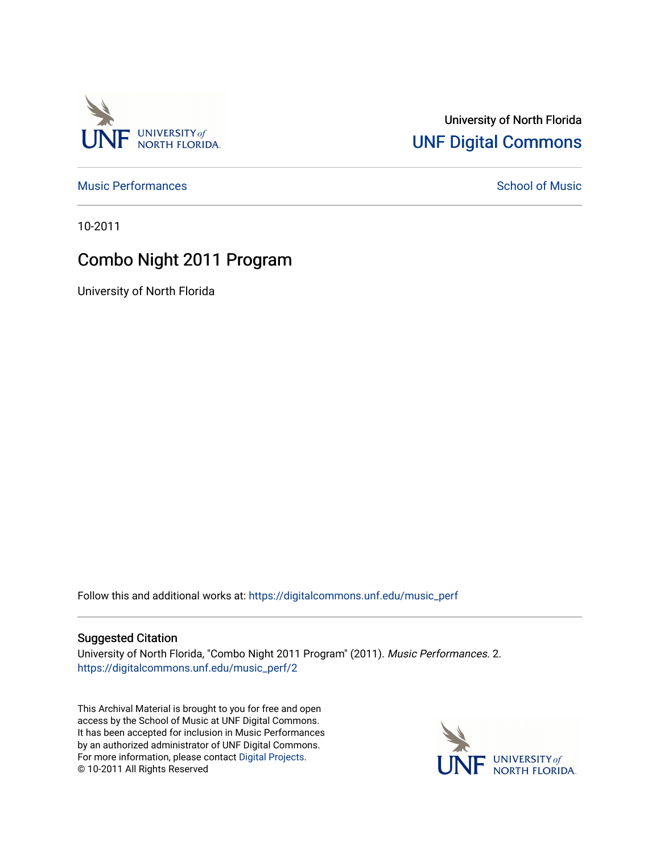

## University of North Florida [UNF Digital Commons](https://digitalcommons.unf.edu/)

[Music Performances](https://digitalcommons.unf.edu/music_perf) and [School of Music](https://digitalcommons.unf.edu/amus) Performances and School of Music Performances

10-2011

# Combo Night 2011 Program

University of North Florida

Follow this and additional works at: [https://digitalcommons.unf.edu/music\\_perf](https://digitalcommons.unf.edu/music_perf?utm_source=digitalcommons.unf.edu%2Fmusic_perf%2F2&utm_medium=PDF&utm_campaign=PDFCoverPages)

#### Suggested Citation

University of North Florida, "Combo Night 2011 Program" (2011). Music Performances. 2. [https://digitalcommons.unf.edu/music\\_perf/2](https://digitalcommons.unf.edu/music_perf/2?utm_source=digitalcommons.unf.edu%2Fmusic_perf%2F2&utm_medium=PDF&utm_campaign=PDFCoverPages) 

This Archival Material is brought to you for free and open access by the School of Music at UNF Digital Commons. It has been accepted for inclusion in Music Performances by an authorized administrator of UNF Digital Commons. For more information, please contact [Digital Projects](mailto:lib-digital@unf.edu). © 10-2011 All Rights Reserved

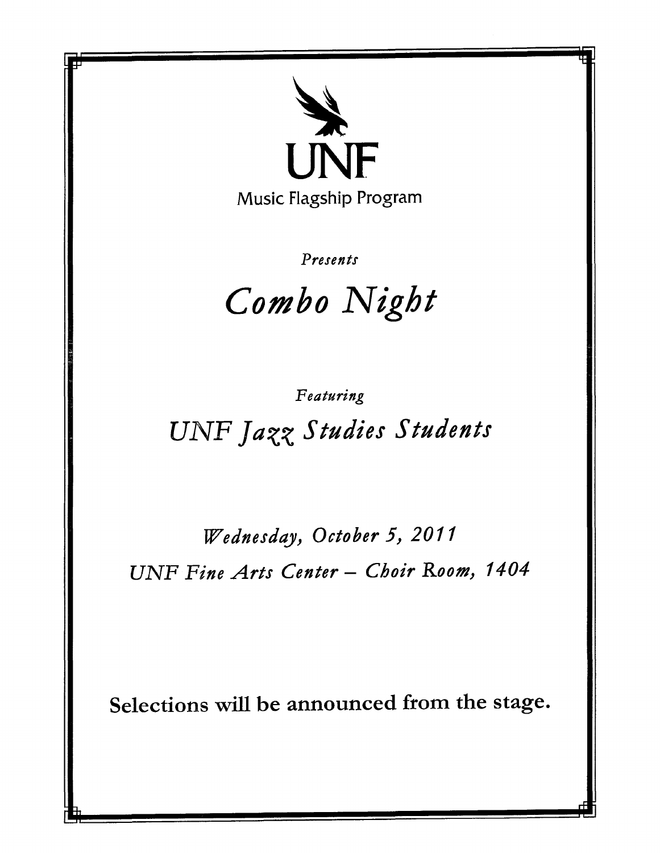